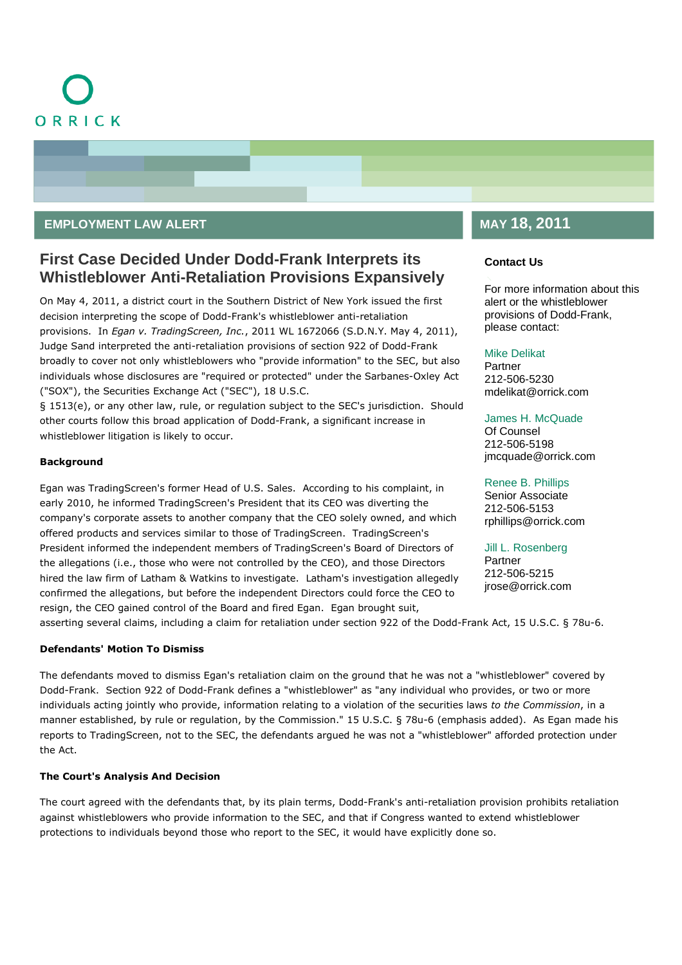

### **EMPLOYMENT LAW ALERT**

## **First Case Decided Under Dodd-Frank Interprets its Whistleblower Anti-Retaliation Provisions Expansively**

On May 4, 2011, a district court in the Southern District of New York issued the first decision interpreting the scope of Dodd-Frank's whistleblower anti-retaliation provisions. In *Egan v. TradingScreen, Inc.*, 2011 WL 1672066 (S.D.N.Y. May 4, 2011), Judge Sand interpreted the anti-retaliation provisions of section 922 of Dodd-Frank broadly to cover not only whistleblowers who "provide information" to the SEC, but also individuals whose disclosures are "required or protected" under the Sarbanes-Oxley Act ("SOX"), the Securities Exchange Act ("SEC"), 18 U.S.C.

§ 1513(e), or any other law, rule, or regulation subject to the SEC's jurisdiction. Should other courts follow this broad application of Dodd-Frank, a significant increase in whistleblower litigation is likely to occur.

#### **Background**

Egan was TradingScreen's former Head of U.S. Sales. According to his complaint, in early 2010, he informed TradingScreen's President that its CEO was diverting the company's corporate assets to another company that the CEO solely owned, and which offered products and services similar to those of TradingScreen. TradingScreen's President informed the independent members of TradingScreen's Board of Directors of the allegations (i.e., those who were not controlled by the CEO), and those Directors hired the law firm of Latham & Watkins to investigate. Latham's investigation allegedly confirmed the allegations, but before the independent Directors could force the CEO to resign, the CEO gained control of the Board and fired Egan. Egan brought suit,

#### asserting several claims, including a claim for retaliation under section 922 of the Dodd-Frank Act, 15 U.S.C. § 78u-6.

#### **Defendants' Motion To Dismiss**

The defendants moved to dismiss Egan's retaliation claim on the ground that he was not a "whistleblower" covered by Dodd-Frank. Section 922 of Dodd-Frank defines a "whistleblower" as "any individual who provides, or two or more individuals acting jointly who provide, information relating to a violation of the securities laws *to the Commission*, in a manner established, by rule or regulation, by the Commission." 15 U.S.C. § 78u-6 (emphasis added). As Egan made his reports to TradingScreen, not to the SEC, the defendants argued he was not a "whistleblower" afforded protection under the Act.

#### **The Court's Analysis And Decision**

The court agreed with the defendants that, by its plain terms, Dodd-Frank's anti-retaliation provision prohibits retaliation against whistleblowers who provide information to the SEC, and that if Congress wanted to extend whistleblower protections to individuals beyond those who report to the SEC, it would have explicitly done so.

## **MAY 18, 2011**

#### **Contact Us**

For more information about this alert or the whistleblower provisions of Dodd-Frank, please contact:

#### [Mike Delikat](http://www.orrick.com/lawyers/Bio.asp?ID=7547)

Partner 212-506-5230 mdelikat@orrick.com

#### [James H. McQuade](http://www.orrick.com/lawyers/Bio.asp?ID=136956)

Of Counsel 212-506-5198 jmcquade@orrick.com

### [Renee B. Phillips](http://www.orrick.com/lawyers/Bio.asp?ID=115011)

Senior Associate 212-506-5153 rphillips@orrick.com

#### [Jill L. Rosenberg](http://www.orrick.com/Lawyers/Bio.asp?ID=11442)

**Partner** 212-506-5215 jrose@orrick.com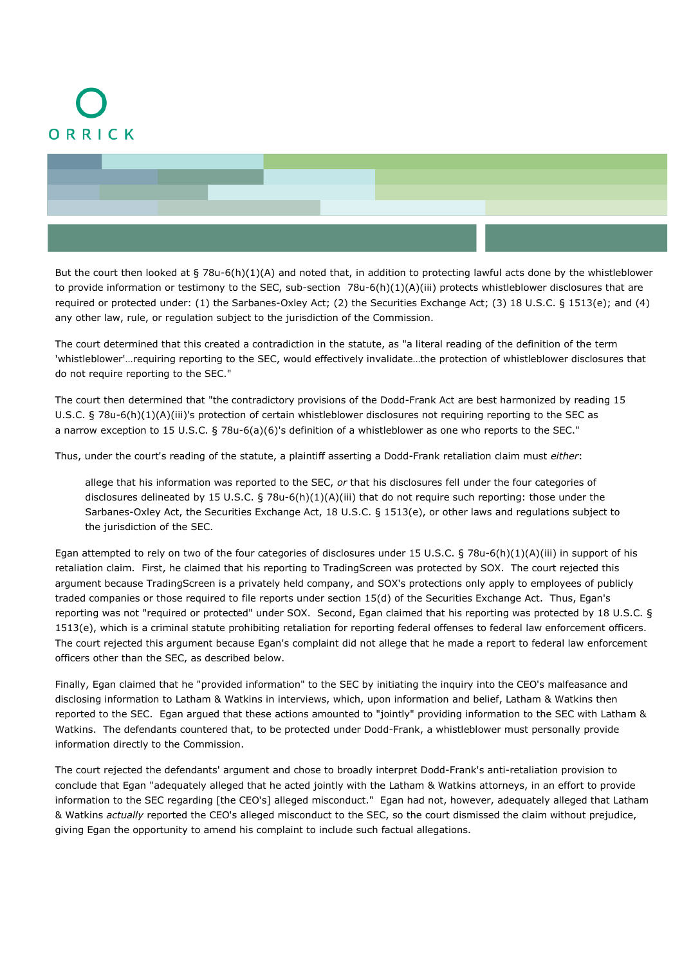# ORRICK



But the court then looked at  $\S 78u-6(h)(1)(A)$  and noted that, in addition to protecting lawful acts done by the whistleblower to provide information or testimony to the SEC, sub-section 78u-6(h)(1)(A)(iii) protects whistleblower disclosures that are required or protected under: (1) the Sarbanes-Oxley Act; (2) the Securities Exchange Act; (3) 18 U.S.C. § 1513(e); and (4) any other law, rule, or regulation subject to the jurisdiction of the Commission.

The court determined that this created a contradiction in the statute, as "a literal reading of the definition of the term 'whistleblower'…requiring reporting to the SEC, would effectively invalidate…the protection of whistleblower disclosures that do not require reporting to the SEC."

The court then determined that "the contradictory provisions of the Dodd-Frank Act are best harmonized by reading 15 U.S.C. § 78u-6(h)(1)(A)(iii)'s protection of certain whistleblower disclosures not requiring reporting to the SEC as a narrow exception to 15 U.S.C. § 78u-6(a)(6)'s definition of a whistleblower as one who reports to the SEC."

Thus, under the court's reading of the statute, a plaintiff asserting a Dodd-Frank retaliation claim must *either*:

allege that his information was reported to the SEC, *or* that his disclosures fell under the four categories of disclosures delineated by 15 U.S.C. § 78u-6(h)(1)(A)(iii) that do not require such reporting: those under the Sarbanes-Oxley Act, the Securities Exchange Act, 18 U.S.C. § 1513(e), or other laws and regulations subject to the jurisdiction of the SEC.

Egan attempted to rely on two of the four categories of disclosures under 15 U.S.C. § 78u-6(h)(1)(A)(iii) in support of his retaliation claim. First, he claimed that his reporting to TradingScreen was protected by SOX. The court rejected this argument because TradingScreen is a privately held company, and SOX's protections only apply to employees of publicly traded companies or those required to file reports under section 15(d) of the Securities Exchange Act. Thus, Egan's reporting was not "required or protected" under SOX. Second, Egan claimed that his reporting was protected by 18 U.S.C. § 1513(e), which is a criminal statute prohibiting retaliation for reporting federal offenses to federal law enforcement officers. The court rejected this argument because Egan's complaint did not allege that he made a report to federal law enforcement officers other than the SEC, as described below.

Finally, Egan claimed that he "provided information" to the SEC by initiating the inquiry into the CEO's malfeasance and disclosing information to Latham & Watkins in interviews, which, upon information and belief, Latham & Watkins then reported to the SEC. Egan argued that these actions amounted to "jointly" providing information to the SEC with Latham & Watkins. The defendants countered that, to be protected under Dodd-Frank, a whistleblower must personally provide information directly to the Commission.

The court rejected the defendants' argument and chose to broadly interpret Dodd-Frank's anti-retaliation provision to conclude that Egan "adequately alleged that he acted jointly with the Latham & Watkins attorneys, in an effort to provide information to the SEC regarding [the CEO's] alleged misconduct." Egan had not, however, adequately alleged that Latham & Watkins *actually* reported the CEO's alleged misconduct to the SEC, so the court dismissed the claim without prejudice, giving Egan the opportunity to amend his complaint to include such factual allegations.